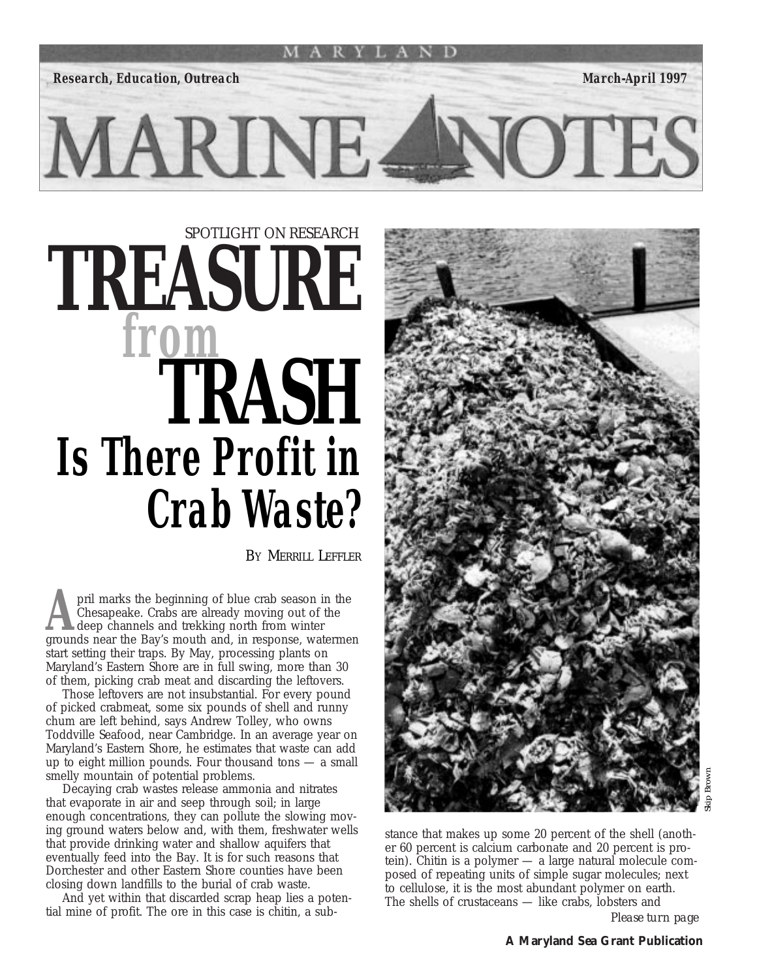

# *SPOTLIGHT ON RESEARCH* **TREASURE**  *from* **TRASH** *Is There Profit in Crab Waste?*

MARINE.

BY MERRILL LEFFLER

**A** pril marks the beginning of blue crab season in the Chesapeake. Crabs are already moving out of the deep channels and trekking north from winter grounds near the Bay's mouth and in response waterme Chesapeake. Crabs are already moving out of the deep channels and trekking north from winter grounds near the Bay's mouth and, in response, watermen start setting their traps. By May, processing plants on Maryland's Eastern Shore are in full swing, more than 30 of them, picking crab meat and discarding the leftovers.

Those leftovers are not insubstantial. For every pound of picked crabmeat, some six pounds of shell and runny chum are left behind, says Andrew Tolley, who owns Toddville Seafood, near Cambridge. In an average year on Maryland's Eastern Shore, he estimates that waste can add up to eight million pounds. Four thousand tons  $-$  a small smelly mountain of potential problems.

Decaying crab wastes release ammonia and nitrates that evaporate in air and seep through soil; in large enough concentrations, they can pollute the slowing moving ground waters below and, with them, freshwater wells that provide drinking water and shallow aquifers that eventually feed into the Bay. It is for such reasons that Dorchester and other Eastern Shore counties have been closing down landfills to the burial of crab waste.

And yet within that discarded scrap heap lies a potential mine of profit. The ore in this case is chitin, a sub-



**DTES** 

Skip Brown

stance that makes up some 20 percent of the shell (another 60 percent is calcium carbonate and 20 percent is protein). Chitin is a polymer — a large natural molecule composed of repeating units of simple sugar molecules; next to cellulose, it is the most abundant polymer on earth. The shells of crustaceans — like crabs, lobsters and

*Please turn page*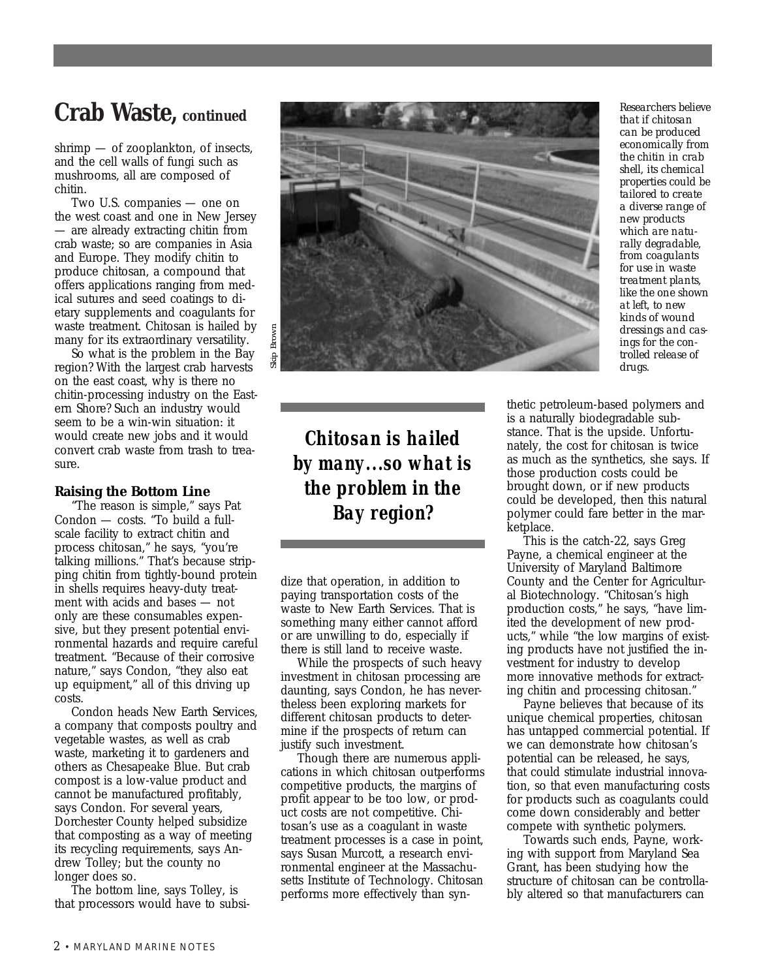shrimp — of zooplankton, of insects, and the cell walls of fungi such as mushrooms, all are composed of chitin.

Two U.S. companies — one on the west coast and one in New Jersey — are already extracting chitin from crab waste; so are companies in Asia and Europe. They modify chitin to produce chitosan, a compound that offers applications ranging from medical sutures and seed coatings to dietary supplements and coagulants for waste treatment. Chitosan is hailed by many for its extraordinary versatility.

So what is the problem in the Bay region? With the largest crab harvests on the east coast, why is there no chitin-processing industry on the Eastern Shore? Such an industry would seem to be a win-win situation: it would create new jobs and it would convert crab waste from trash to treasure.

#### **Raising the Bottom Line**

"The reason is simple," says Pat Condon — costs. "To build a fullscale facility to extract chitin and process chitosan," he says, "you're talking millions." That's because stripping chitin from tightly-bound protein in shells requires heavy-duty treatment with acids and bases — not only are these consumables expensive, but they present potential environmental hazards and require careful treatment. "Because of their corrosive nature," says Condon, "they also eat up equipment," all of this driving up costs.

Condon heads New Earth Services, a company that composts poultry and vegetable wastes, as well as crab waste, marketing it to gardeners and others as Chesapeake Blue. But crab compost is a low-value product and cannot be manufactured profitably, says Condon. For several years, Dorchester County helped subsidize that composting as a way of meeting its recycling requirements, says Andrew Tolley; but the county no longer does so.

The bottom line, says Tolley, is that processors would have to subsi-



*Chitosan is hailed by many...so what is the problem in the Bay region?*

dize that operation, in addition to paying transportation costs of the waste to New Earth Services. That is something many either cannot afford or are unwilling to do, especially if there is still land to receive waste.

While the prospects of such heavy investment in chitosan processing are daunting, says Condon, he has nevertheless been exploring markets for different chitosan products to determine if the prospects of return can justify such investment.

Though there are numerous applications in which chitosan outperforms competitive products, the margins of profit appear to be too low, or product costs are not competitive. Chitosan's use as a coagulant in waste treatment processes is a case in point, says Susan Murcott, a research environmental engineer at the Massachusetts Institute of Technology. Chitosan performs more effectively than syn*that if chitosan can be produced economically from the chitin in crab shell, its chemical properties could be tailored to create a diverse range of new products which are naturally degradable, from coagulants for use in waste treatment plants, like the one shown at left, to new kinds of wound dressings and casings for the controlled release of drugs.*

thetic petroleum-based polymers and is a naturally biodegradable substance. That is the upside. Unfortunately, the cost for chitosan is twice as much as the synthetics, she says. If those production costs could be brought down, or if new products could be developed, then this natural polymer could fare better in the marketplace.

This is the catch-22, says Greg Payne, a chemical engineer at the University of Maryland Baltimore County and the Center for Agricultural Biotechnology. "Chitosan's high production costs," he says, "have limited the development of new products," while "the low margins of existing products have not justified the investment for industry to develop more innovative methods for extracting chitin and processing chitosan."

Payne believes that because of its unique chemical properties, chitosan has untapped commercial potential. If we can demonstrate how chitosan's potential can be released, he says, that could stimulate industrial innovation, so that even manufacturing costs for products such as coagulants could come down considerably and better compete with synthetic polymers.

Towards such ends, Payne, working with support from Maryland Sea Grant, has been studying how the structure of chitosan can be controllably altered so that manufacturers can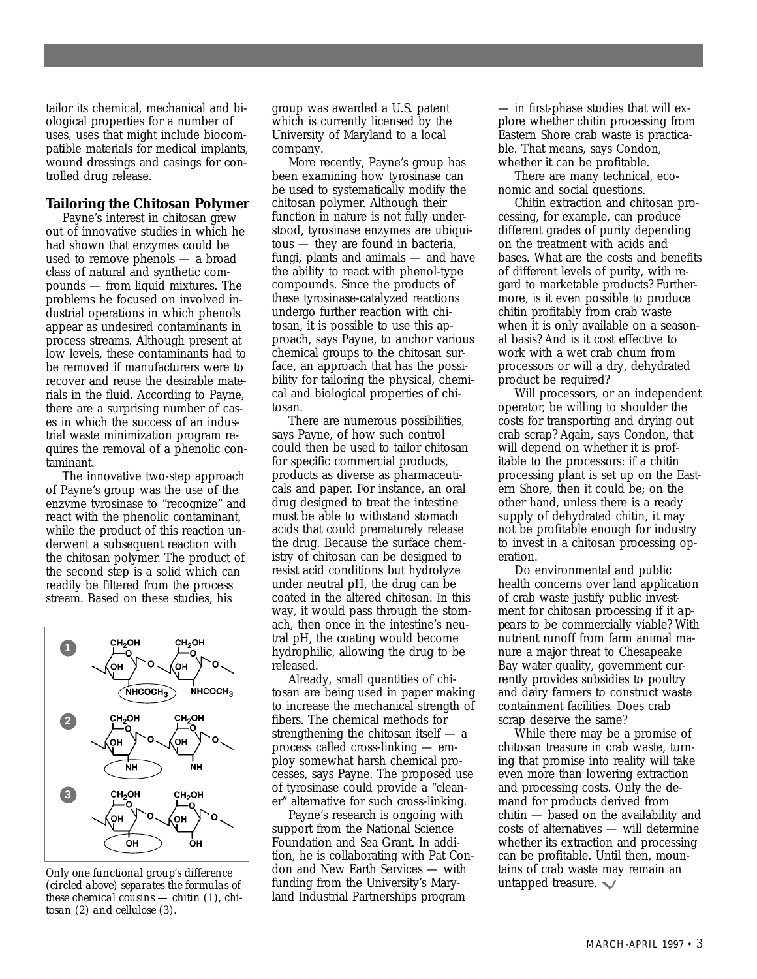tailor its chemical, mechanical and biological properties for a number of uses, uses that might include biocompatible materials for medical implants, wound dressings and casings for controlled drug release.

#### **Tailoring the Chitosan Polymer**

Payne's interest in chitosan grew out of innovative studies in which he had shown that enzymes could be used to remove phenols — a broad class of natural and synthetic compounds — from liquid mixtures. The problems he focused on involved industrial operations in which phenols appear as undesired contaminants in process streams. Although present at low levels, these contaminants had to be removed if manufacturers were to recover and reuse the desirable materials in the fluid. According to Payne, there are a surprising number of cases in which the success of an industrial waste minimization program requires the removal of a phenolic contaminant.

The innovative two-step approach of Payne's group was the use of the enzyme tyrosinase to "recognize" and react with the phenolic contaminant, while the product of this reaction underwent a subsequent reaction with the chitosan polymer. The product of the second step is a solid which can readily be filtered from the process stream. Based on these studies, his



*Only one functional group's difference (circled above) separates the formulas of these chemical cousins — chitin (1), chitosan (2) and cellulose (3).*

group was awarded a U.S. patent which is currently licensed by the University of Maryland to a local company.

More recently, Payne's group has been examining how tyrosinase can be used to systematically modify the chitosan polymer. Although their function in nature is not fully understood, tyrosinase enzymes are ubiquitous — they are found in bacteria, fungi, plants and animals — and have the ability to react with phenol-type compounds. Since the products of these tyrosinase-catalyzed reactions undergo further reaction with chitosan, it is possible to use this approach, says Payne, to anchor various chemical groups to the chitosan surface, an approach that has the possibility for tailoring the physical, chemical and biological properties of chitosan.

There are numerous possibilities, says Payne, of how such control could then be used to tailor chitosan for specific commercial products, products as diverse as pharmaceuticals and paper. For instance, an oral drug designed to treat the intestine must be able to withstand stomach acids that could prematurely release the drug. Because the surface chemistry of chitosan can be designed to resist acid conditions but hydrolyze under neutral pH, the drug can be coated in the altered chitosan. In this way, it would pass through the stomach, then once in the intestine's neutral pH, the coating would become hydrophilic, allowing the drug to be released.

Already, small quantities of chitosan are being used in paper making to increase the mechanical strength of fibers. The chemical methods for strengthening the chitosan itself — a process called cross-linking — employ somewhat harsh chemical processes, says Payne. The proposed use of tyrosinase could provide a "cleaner" alternative for such cross-linking.

Payne's research is ongoing with support from the National Science Foundation and Sea Grant. In addition, he is collaborating with Pat Condon and New Earth Services — with funding from the University's Maryland Industrial Partnerships program

— in first-phase studies that will explore whether chitin processing from Eastern Shore crab waste is practicable. That means, says Condon, whether it can be profitable.

There are many technical, economic and social questions.

Chitin extraction and chitosan processing, for example, can produce different grades of purity depending on the treatment with acids and bases. What are the costs and benefits of different levels of purity, with regard to marketable products? Furthermore, is it even possible to produce chitin profitably from crab waste when it is only available on a seasonal basis? And is it cost effective to work with a wet crab chum from processors or will a dry, dehydrated product be required?

Will processors, or an independent operator, be willing to shoulder the costs for transporting and drying out crab scrap? Again, says Condon, that will depend on whether it is profitable to the processors: if a chitin processing plant is set up on the Eastern Shore, then it could be; on the other hand, unless there is a ready supply of dehydrated chitin, it may not be profitable enough for industry to invest in a chitosan processing operation.

Do environmental and public health concerns over land application of crab waste justify public investment for chitosan processing if it *appears* to be commercially viable? With nutrient runoff from farm animal manure a major threat to Chesapeake Bay water quality, government currently provides subsidies to poultry and dairy farmers to construct waste containment facilities. Does crab scrap deserve the same?

While there may be a promise of chitosan treasure in crab waste, turning that promise into reality will take even more than lowering extraction and processing costs. Only the demand for products derived from chitin — based on the availability and costs of alternatives — will determine whether its extraction and processing can be profitable. Until then, mountains of crab waste may remain an untapped treasure.  $\blacktriangleright$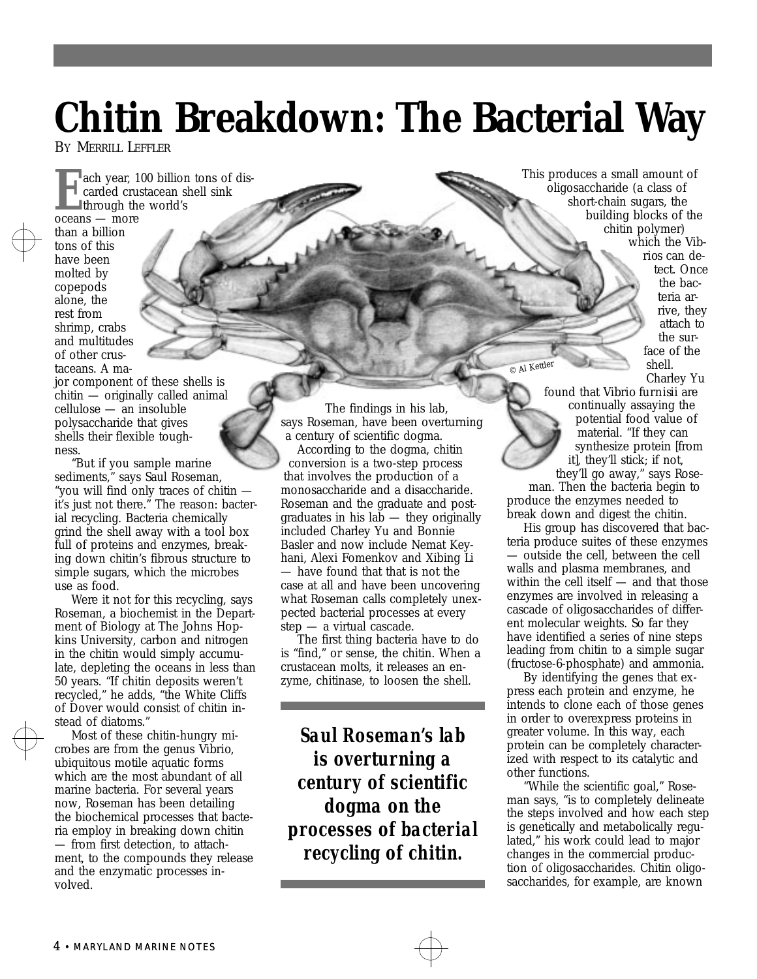## **Chitin Breakdown: The Bacterial Way**

BY MERRILL LEFFLER

**EXECUTE 100 billion tons of dis-<br>
carded crustacean shell sink<br>
through the world's<br>
oceans — more** carded crustacean shell sink **through the world's** oceans — more than a billion tons of this have been molted by copepods alone, the rest from

shrimp, crabs and multitudes of other crustaceans. A ma-

jor component of these shells is chitin — originally called animal cellulose — an insoluble polysaccharide that gives shells their flexible toughness.

"But if you sample marine sediments," says Saul Roseman, "you will find only traces of chitin it's just not there." The reason: bacterial recycling. Bacteria chemically grind the shell away with a tool box full of proteins and enzymes, breaking down chitin's fibrous structure to simple sugars, which the microbes use as food.

Were it not for this recycling, says Roseman, a biochemist in the Department of Biology at The Johns Hopkins University, carbon and nitrogen in the chitin would simply accumulate, depleting the oceans in less than 50 years. "If chitin deposits weren't recycled," he adds, "the White Cliffs of Dover would consist of chitin instead of diatoms."

Most of these chitin-hungry microbes are from the genus *Vibrio*, ubiquitous motile aquatic forms which are the most abundant of all marine bacteria. For several years now, Roseman has been detailing the biochemical processes that bacteria employ in breaking down chitin — from first detection, to attachment, to the compounds they release and the enzymatic processes involved.

The findings in his lab, says Roseman, have been overturning a century of scientific dogma. According to the dogma, chitin conversion is a two-step process that involves the production of a monosaccharide and a disaccharide. Roseman and the graduate and postgraduates in his la $\bar{b}$  — they originally included Charley Yu and Bonnie Basler and now include Nemat Keyhani, Alexi Fomenkov and Xibing Li — have found that that is not the case at all and have been uncovering what Roseman calls completely unexpected bacterial processes at every step — a virtual cascade.

The first thing bacteria have to do is "find," or sense, the chitin. When a crustacean molts, it releases an enzyme, chitinase, to loosen the shell.

*Saul Roseman's lab is overturning a century of scientific dogma on the processes of bacterial recycling of chitin.*

This produces a small amount of oligosaccharide (a class of short-chain sugars, the building blocks of the chitin polymer) which the *Vibrios* can detect. Once the bacteria arrive, they attach to the sur-

face of the shell. Charley Yu

found that *Vibrio furnisii* are continually assaying the potential food value of material. "If they can synthesize protein [from it], they'll stick; if not,

they'll go away," says Roseman. Then the bacteria begin to produce the enzymes needed to break down and digest the chitin.

© Al Kettler

His group has discovered that bacteria produce suites of these enzymes — outside the cell, between the cell walls and plasma membranes, and within the cell itself — and that those enzymes are involved in releasing a cascade of oligosaccharides of different molecular weights. So far they have identified a series of nine steps leading from chitin to a simple sugar (fructose-6-phosphate) and ammonia.

By identifying the genes that express each protein and enzyme, he intends to clone each of those genes in order to overexpress proteins in greater volume. In this way, each protein can be completely characterized with respect to its catalytic and other functions.

"While the scientific goal," Roseman says, "is to completely delineate the steps involved and how each step is genetically and metabolically regulated," his work could lead to major changes in the commercial production of oligosaccharides. Chitin oligosaccharides, for example, are known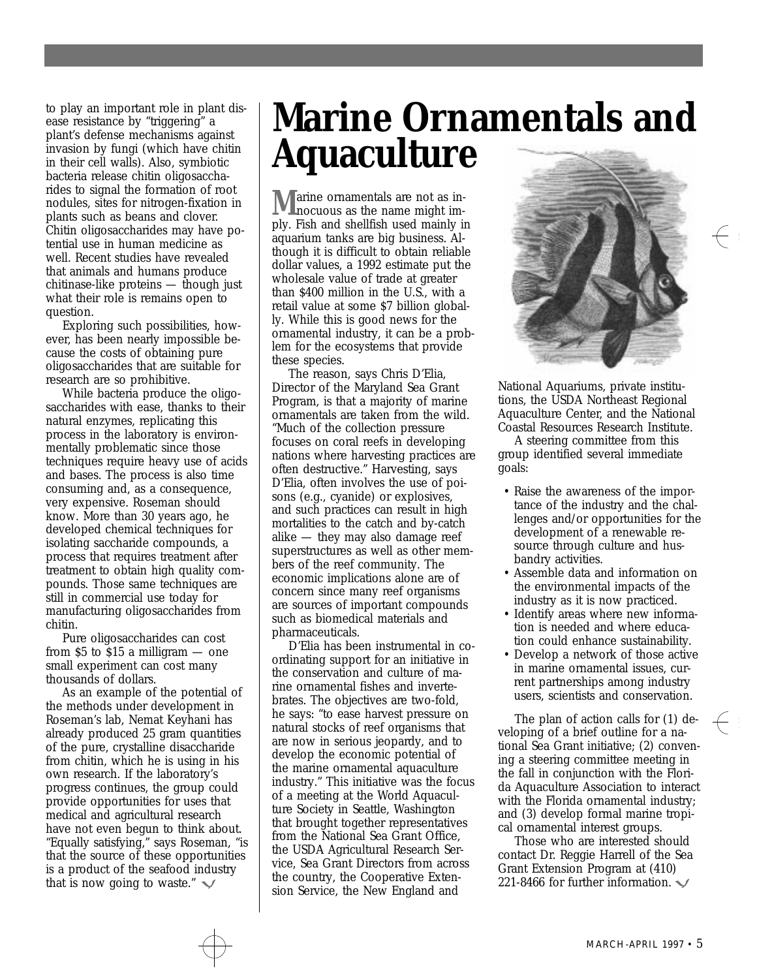to play an important role in plant disease resistance by "triggering" a plant's defense mechanisms against invasion by fungi (which have chitin in their cell walls). Also, symbiotic bacteria release chitin oligosaccharides to signal the formation of root nodules, sites for nitrogen-fixation in plants such as beans and clover. Chitin oligosaccharides may have potential use in human medicine as well. Recent studies have revealed that animals and humans produce chitinase-like proteins — though just what their role is remains open to question.

Exploring such possibilities, however, has been nearly impossible because the costs of obtaining pure oligosaccharides that are suitable for research are so prohibitive.

While bacteria produce the oligosaccharides with ease, thanks to their natural enzymes, replicating this process in the laboratory is environmentally problematic since those techniques require heavy use of acids and bases. The process is also time consuming and, as a consequence, very expensive. Roseman should know. More than 30 years ago, he developed chemical techniques for isolating saccharide compounds, a process that requires treatment after treatment to obtain high quality compounds. Those same techniques are still in commercial use today for manufacturing oligosaccharides from chitin.

Pure oligosaccharides can cost from \$5 to \$15 a milligram — one small experiment can cost many thousands of dollars.

As an example of the potential of the methods under development in Roseman's lab, Nemat Keyhani has already produced 25 gram quantities of the pure, crystalline disaccharide from chitin, which he is using in his own research. If the laboratory's progress continues, the group could provide opportunities for uses that medical and agricultural research have not even begun to think about. "Equally satisfying," says Roseman, "is that the source of these opportunities is a product of the seafood industry that is now going to waste."  $\sqrt$ 

## **Marine Ornamentals and Aquaculture**

**M** arine ornamentals are not as in-<br>nocuous as the name might imply. Fish and shellfish used mainly in aquarium tanks are big business. Although it is difficult to obtain reliable dollar values, a 1992 estimate put the wholesale value of trade at greater than \$400 million in the U.S., with a retail value at some \$7 billion globally. While this is good news for the ornamental industry, it can be a problem for the ecosystems that provide these species.

The reason, says Chris D'Elia, Director of the Maryland Sea Grant Program, is that a majority of marine ornamentals are taken from the wild. "Much of the collection pressure focuses on coral reefs in developing nations where harvesting practices are often destructive." Harvesting, says D'Elia, often involves the use of poisons (e.g., cyanide) or explosives, and such practices can result in high mortalities to the catch and by-catch alike — they may also damage reef superstructures as well as other members of the reef community. The economic implications alone are of concern since many reef organisms are sources of important compounds such as biomedical materials and pharmaceuticals.

D'Elia has been instrumental in coordinating support for an initiative in the conservation and culture of marine ornamental fishes and invertebrates. The objectives are two-fold, he says: "to ease harvest pressure on natural stocks of reef organisms that are now in serious jeopardy, and to develop the economic potential of the marine ornamental aquaculture industry." This initiative was the focus of a meeting at the World Aquaculture Society in Seattle, Washington that brought together representatives from the National Sea Grant Office, the USDA Agricultural Research Service, Sea Grant Directors from across the country, the Cooperative Extension Service, the New England and



National Aquariums, private institutions, the USDA Northeast Regional Aquaculture Center, and the National Coastal Resources Research Institute.

A steering committee from this group identified several immediate goals:

- Raise the awareness of the importance of the industry and the challenges and/or opportunities for the development of a renewable resource through culture and husbandry activities.
- Assemble data and information on the environmental impacts of the industry as it is now practiced.
- Identify areas where new information is needed and where education could enhance sustainability.
- Develop a network of those active in marine ornamental issues, current partnerships among industry users, scientists and conservation.

The plan of action calls for (1) developing of a brief outline for a national Sea Grant initiative; (2) convening a steering committee meeting in the fall in conjunction with the Florida Aquaculture Association to interact with the Florida ornamental industry; and (3) develop formal marine tropical ornamental interest groups.

Those who are interested should contact Dr. Reggie Harrell of the Sea Grant Extension Program at (410) 221-8466 for further information.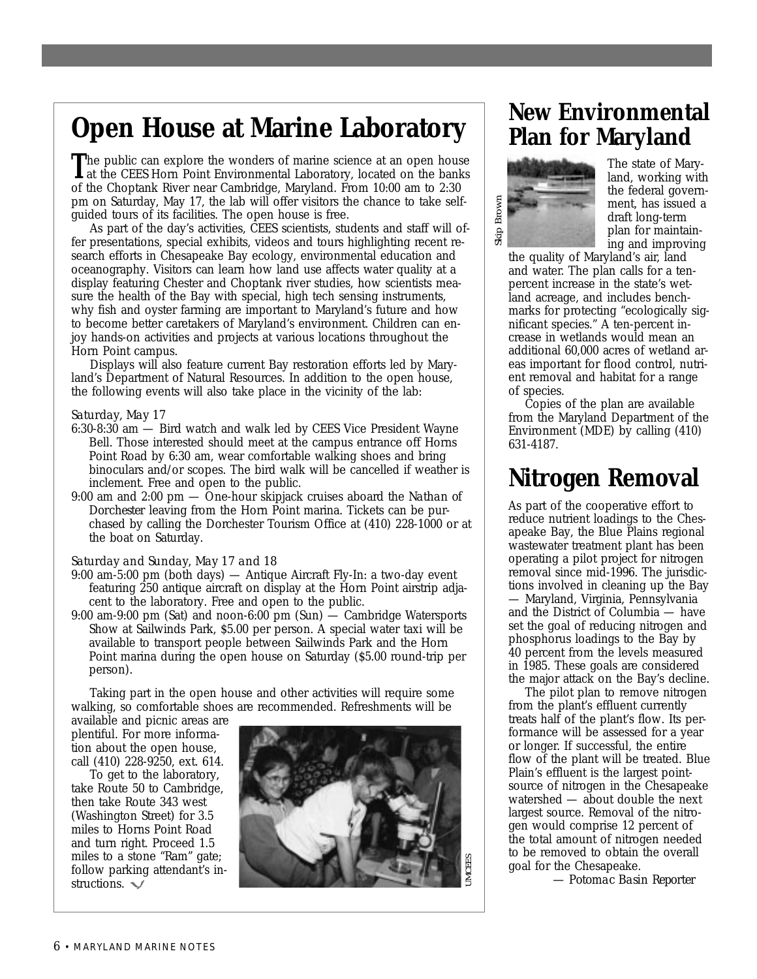## **Open House at Marine Laboratory**

The public can explore the wonders of marine science at an open house<br>at the CEES Horn Point Environmental Laboratory, located on the banks of the Choptank River near Cambridge, Maryland. From 10:00 am to 2:30 pm on Saturday, May 17, the lab will offer visitors the chance to take selfguided tours of its facilities. The open house is free.

As part of the day's activities, CEES scientists, students and staff will offer presentations, special exhibits, videos and tours highlighting recent research efforts in Chesapeake Bay ecology, environmental education and oceanography. Visitors can learn how land use affects water quality at a display featuring Chester and Choptank river studies, how scientists measure the health of the Bay with special, high tech sensing instruments, why fish and oyster farming are important to Maryland's future and how to become better caretakers of Maryland's environment. Children can enjoy hands-on activities and projects at various locations throughout the Horn Point campus.

Displays will also feature current Bay restoration efforts led by Maryland's Department of Natural Resources. In addition to the open house, the following events will also take place in the vicinity of the lab:

#### *Saturday, May 17*

- 6:30-8:30 am Bird watch and walk led by CEES Vice President Wayne Bell. Those interested should meet at the campus entrance off Horns Point Road by 6:30 am, wear comfortable walking shoes and bring binoculars and/or scopes. The bird walk will be cancelled if weather is inclement. Free and open to the public.
- 9:00 am and 2:00 pm One-hour skipjack cruises aboard the *Nathan of Dorchester* leaving from the Horn Point marina. Tickets can be purchased by calling the Dorchester Tourism Office at (410) 228-1000 or at the boat on Saturday.

#### *Saturday and Sunday, May 17 and 18*

- 9:00 am-5:00 pm (both days) Antique Aircraft Fly-In: a two-day event featuring 250 antique aircraft on display at the Horn Point airstrip adjacent to the laboratory. Free and open to the public.
- 9:00 am-9:00 pm (Sat) and noon-6:00 pm (Sun) Cambridge Watersports Show at Sailwinds Park, \$5.00 per person. A special water taxi will be available to transport people between Sailwinds Park and the Horn Point marina during the open house on Saturday (\$5.00 round-trip per person).

Taking part in the open house and other activities will require some walking, so comfortable shoes are recommended. Refreshments will be

available and picnic areas are plentiful. For more information about the open house, call (410) 228-9250, ext. 614.

To get to the laboratory, take Route 50 to Cambridge, then take Route 343 west (Washington Street) for 3.5 miles to Horns Point Road and turn right. Proceed 1.5 miles to a stone "Ram" gate; follow parking attendant's instructions.



#### **New Environmental Plan for Maryland**



The state of Maryland, working with the federal government, has issued a draft long-term plan for maintaining and improving

the quality of Maryland's air, land and water. The plan calls for a tenpercent increase in the state's wetland acreage, and includes benchmarks for protecting "ecologically significant species." A ten-percent increase in wetlands would mean an additional 60,000 acres of wetland areas important for flood control, nutrient removal and habitat for a range of species.

Copies of the plan are available from the Maryland Department of the Environment (MDE) by calling (410) 631-4187.

## **Nitrogen Removal**

As part of the cooperative effort to reduce nutrient loadings to the Chesapeake Bay, the Blue Plains regional wastewater treatment plant has been operating a pilot project for nitrogen removal since mid-1996. The jurisdictions involved in cleaning up the Bay — Maryland, Virginia, Pennsylvania and the District of Columbia — have set the goal of reducing nitrogen and phosphorus loadings to the Bay by 40 percent from the levels measured in 1985. These goals are considered the major attack on the Bay's decline.

The pilot plan to remove nitrogen from the plant's effluent currently treats half of the plant's flow. Its performance will be assessed for a year or longer. If successful, the entire flow of the plant will be treated. Blue Plain's effluent is the largest pointsource of nitrogen in the Chesapeake watershed — about double the next largest source. Removal of the nitrogen would comprise 12 percent of the total amount of nitrogen needed to be removed to obtain the overall goal for the Chesapeake.

*— Potomac Basin Reporter*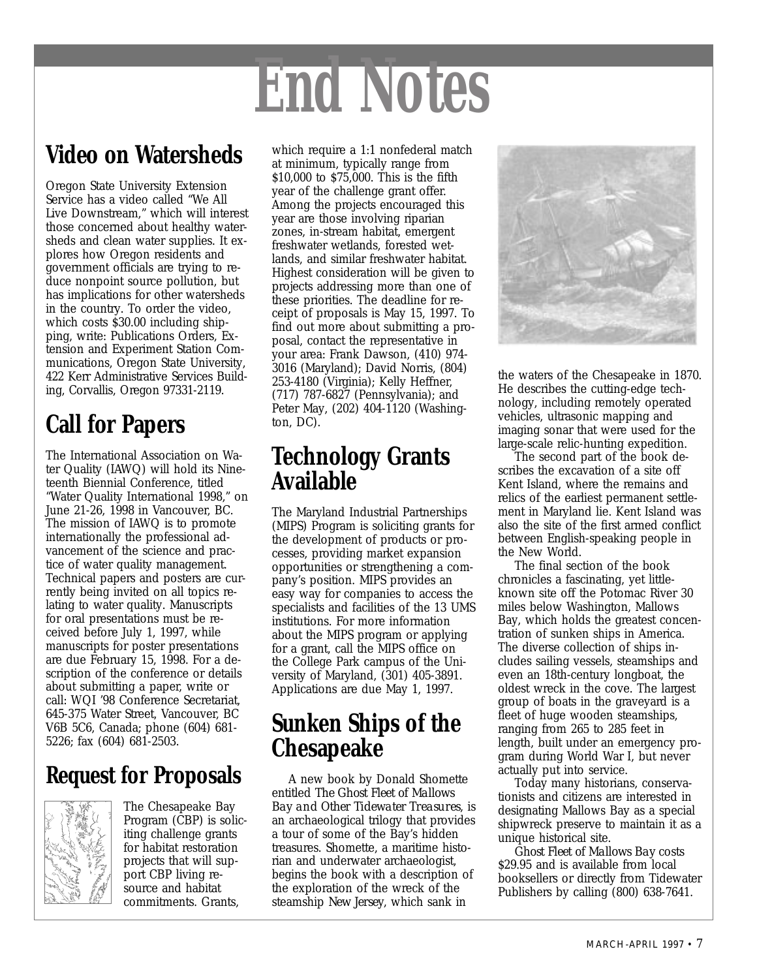# *End Notes*

## **Video on Watersheds**

Oregon State University Extension Service has a video called "We All Live Downstream," which will interest those concerned about healthy watersheds and clean water supplies. It explores how Oregon residents and government officials are trying to reduce nonpoint source pollution, but has implications for other watersheds in the country. To order the video, which costs \$30.00 including shipping, write: Publications Orders, Extension and Experiment Station Communications, Oregon State University, 422 Kerr Administrative Services Building, Corvallis, Oregon 97331-2119.

## **Call for Papers**

The International Association on Water Quality (IAWQ) will hold its Nineteenth Biennial Conference, titled "Water Quality International 1998," on June 21-26, 1998 in Vancouver, BC. The mission of IAWQ is to promote internationally the professional advancement of the science and practice of water quality management. Technical papers and posters are currently being invited on all topics relating to water quality. Manuscripts for oral presentations must be received before July 1, 1997, while manuscripts for poster presentations are due February 15, 1998. For a description of the conference or details about submitting a paper, write or call: WQI '98 Conference Secretariat, 645-375 Water Street, Vancouver, BC V6B 5C6, Canada; phone (604) 681- 5226; fax (604) 681-2503.

## **Request for Proposals**



The Chesapeake Bay Program (CBP) is soliciting challenge grants for habitat restoration projects that will support CBP living resource and habitat commitments. Grants,

which require a 1:1 nonfederal match at minimum, typically range from \$10,000 to \$75,000. This is the fifth year of the challenge grant offer. Among the projects encouraged this year are those involving riparian zones, in-stream habitat, emergent freshwater wetlands, forested wetlands, and similar freshwater habitat. Highest consideration will be given to projects addressing more than one of these priorities. The deadline for receipt of proposals is May 15, 1997. To find out more about submitting a proposal, contact the representative in your area: Frank Dawson, (410) 974- 3016 (Maryland); David Norris, (804) 253-4180 (Virginia); Kelly Heffner, (717) 787-6827 (Pennsylvania); and Peter May, (202) 404-1120 (Washington, DC).

## **Technology Grants Available**

The Maryland Industrial Partnerships (MIPS) Program is soliciting grants for the development of products or processes, providing market expansion opportunities or strengthening a company's position. MIPS provides an easy way for companies to access the specialists and facilities of the 13 UMS institutions. For more information about the MIPS program or applying for a grant, call the MIPS office on the College Park campus of the University of Maryland, (301) 405-3891. Applications are due May 1, 1997.

## **Sunken Ships of the Chesapeake**

A new book by Donald Shomette entitled *The Ghost Fleet of Mallows Bay and Other Tidewater Treasures*, is an archaeological trilogy that provides a tour of some of the Bay's hidden treasures. Shomette, a maritime historian and underwater archaeologist, begins the book with a description of the exploration of the wreck of the steamship *New Jersey*, which sank in



the waters of the Chesapeake in 1870. He describes the cutting-edge technology, including remotely operated vehicles, ultrasonic mapping and imaging sonar that were used for the large-scale relic-hunting expedition.

The second part of the book describes the excavation of a site off Kent Island, where the remains and relics of the earliest permanent settlement in Maryland lie. Kent Island was also the site of the first armed conflict between English-speaking people in the New World.

The final section of the book chronicles a fascinating, yet littleknown site off the Potomac River 30 miles below Washington, Mallows Bay, which holds the greatest concentration of sunken ships in America. The diverse collection of ships includes sailing vessels, steamships and even an 18th-century longboat, the oldest wreck in the cove. The largest group of boats in the graveyard is a fleet of huge wooden steamships, ranging from 265 to 285 feet in length, built under an emergency program during World War I, but never actually put into service.

Today many historians, conservationists and citizens are interested in designating Mallows Bay as a special shipwreck preserve to maintain it as a unique historical site.

*Ghost Fleet of Mallows Bay* costs \$29.95 and is available from local booksellers or directly from Tidewater Publishers by calling (800) 638-7641.